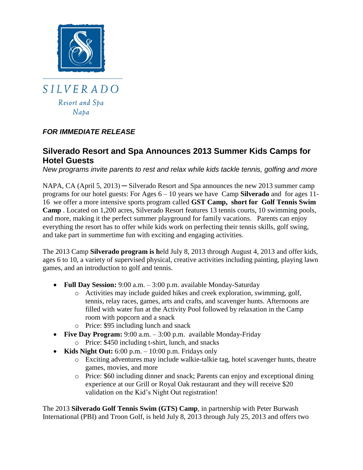

## *FOR IMMEDIATE RELEASE*

# **Silverado Resort and Spa Announces 2013 Summer Kids Camps for Hotel Guests**

*New programs invite parents to rest and relax while kids tackle tennis, golfing and more*

NAPA, CA (April 5, 2013) — Silverado Resort and Spa announces the new 2013 summer camp programs for our hotel guests: For Ages 6 – 10 years we have Camp **Silverado** and for ages 11- 16 we offer a more intensive sports program called **GST Camp, short for Golf Tennis Swim Camp** . Located on 1,200 acres, Silverado Resort features 13 tennis courts, 10 swimming pools, and more, making it the perfect summer playground for family vacations. Parents can enjoy everything the resort has to offer while kids work on perfecting their tennis skills, golf swing, and take part in summertime fun with exciting and engaging activities.

The 2013 Camp **Silverado program is h**eld July 8, 2013 through August 4, 2013 and offer kids, ages 6 to 10, a variety of supervised physical, creative activities including painting, playing lawn games, and an introduction to golf and tennis.

- **Full Day Session:** 9:00 a.m. 3:00 p.m. available Monday-Saturday
	- o Activities may include guided hikes and creek exploration, swimming, golf, tennis, relay races, games, arts and crafts, and scavenger hunts. Afternoons are filled with water fun at the Activity Pool followed by relaxation in the Camp room with popcorn and a snack
	- o Price: \$95 including lunch and snack
- **Five Day Program:** 9:00 a.m. 3:00 p.m. available Monday-Friday o Price: \$450 including t-shirt, lunch, and snacks
- Kids Night Out: 6:00 p.m. 10:00 p.m. Fridays only
	- o Exciting adventures may include walkie-talkie tag, hotel scavenger hunts, theatre games, movies, and more
	- o Price: \$60 including dinner and snack; Parents can enjoy and exceptional dining experience at our Grill or Royal Oak restaurant and they will receive \$20 validation on the Kid's Night Out registration!

The 2013 **Silverado Golf Tennis Swim (GTS) Camp**, in partnership with Peter Burwash International (PBI) and Troon Golf, is held July 8, 2013 through July 25, 2013 and offers two